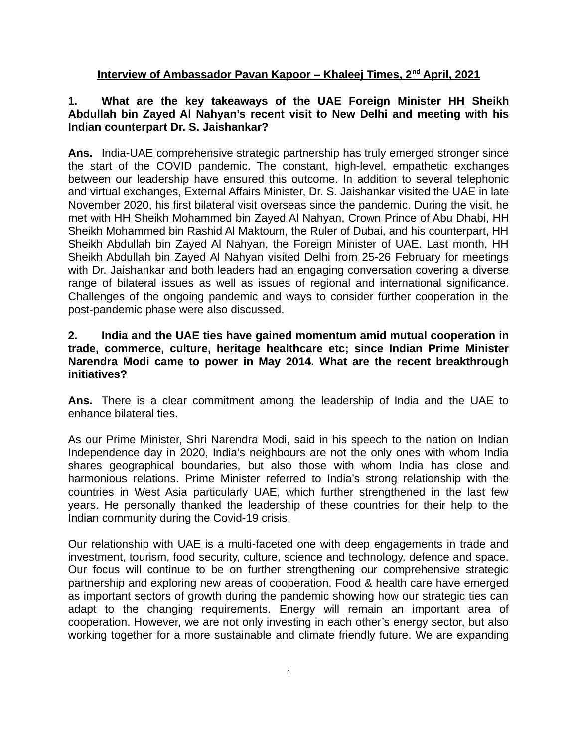### **Interview of Ambassador Pavan Kapoor – Khaleej Times, 2nd April, 2021**

### **1. What are the key takeaways of the UAE Foreign Minister HH Sheikh Abdullah bin Zayed Al Nahyan's recent visit to New Delhi and meeting with his Indian counterpart Dr. S. Jaishankar?**

**Ans.** India-UAE comprehensive strategic partnership has truly emerged stronger since the start of the COVID pandemic. The constant, high-level, empathetic exchanges between our leadership have ensured this outcome. In addition to several telephonic and virtual exchanges, External Affairs Minister, Dr. S. Jaishankar visited the UAE in late November 2020, his first bilateral visit overseas since the pandemic. During the visit, he met with HH Sheikh Mohammed bin Zayed Al Nahyan, Crown Prince of Abu Dhabi, HH Sheikh Mohammed bin Rashid Al Maktoum, the Ruler of Dubai, and his counterpart, HH Sheikh Abdullah bin Zayed Al Nahyan, the Foreign Minister of UAE. Last month, HH Sheikh Abdullah bin Zayed Al Nahyan visited Delhi from 25-26 February for meetings with Dr. Jaishankar and both leaders had an engaging conversation covering a diverse range of bilateral issues as well as issues of regional and international significance. Challenges of the ongoing pandemic and ways to consider further cooperation in the post-pandemic phase were also discussed.

### **2. India and the UAE ties have gained momentum amid mutual cooperation in trade, commerce, culture, heritage healthcare etc; since Indian Prime Minister Narendra Modi came to power in May 2014. What are the recent breakthrough initiatives?**

**Ans.** There is a clear commitment among the leadership of India and the UAE to enhance bilateral ties.

As our Prime Minister, Shri Narendra Modi, said in his speech to the nation on Indian Independence day in 2020, India's neighbours are not the only ones with whom India shares geographical boundaries, but also those with whom India has close and harmonious relations. Prime Minister referred to India's strong relationship with the countries in West Asia particularly UAE, which further strengthened in the last few years. He personally thanked the leadership of these countries for their help to the Indian community during the Covid-19 crisis.

Our relationship with UAE is a multi-faceted one with deep engagements in trade and investment, tourism, food security, culture, science and technology, defence and space. Our focus will continue to be on further strengthening our comprehensive strategic partnership and exploring new areas of cooperation. Food & health care have emerged as important sectors of growth during the pandemic showing how our strategic ties can adapt to the changing requirements. Energy will remain an important area of cooperation. However, we are not only investing in each other's energy sector, but also working together for a more sustainable and climate friendly future. We are expanding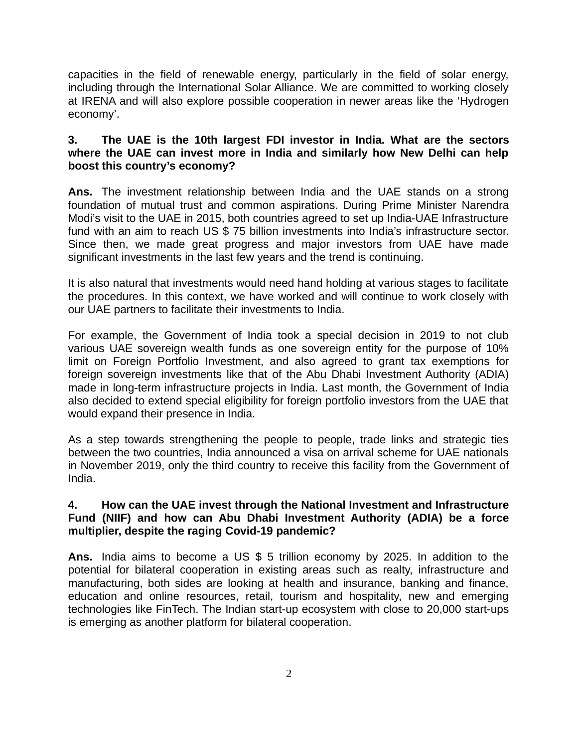capacities in the field of renewable energy, particularly in the field of solar energy, including through the International Solar Alliance. We are committed to working closely at IRENA and will also explore possible cooperation in newer areas like the 'Hydrogen economy'.

# **3. The UAE is the 10th largest FDI investor in India. What are the sectors where the UAE can invest more in India and similarly how New Delhi can help boost this country's economy?**

**Ans.** The investment relationship between India and the UAE stands on a strong foundation of mutual trust and common aspirations. During Prime Minister Narendra Modi's visit to the UAE in 2015, both countries agreed to set up India-UAE Infrastructure fund with an aim to reach US \$ 75 billion investments into India's infrastructure sector. Since then, we made great progress and major investors from UAE have made significant investments in the last few years and the trend is continuing.

It is also natural that investments would need hand holding at various stages to facilitate the procedures. In this context, we have worked and will continue to work closely with our UAE partners to facilitate their investments to India.

For example, the Government of India took a special decision in 2019 to not club various UAE sovereign wealth funds as one sovereign entity for the purpose of 10% limit on Foreign Portfolio Investment, and also agreed to grant tax exemptions for foreign sovereign investments like that of the Abu Dhabi Investment Authority (ADIA) made in long-term infrastructure projects in India. Last month, the Government of India also decided to extend special eligibility for foreign portfolio investors from the UAE that would expand their presence in India.

As a step towards strengthening the people to people, trade links and strategic ties between the two countries, India announced a visa on arrival scheme for UAE nationals in November 2019, only the third country to receive this facility from the Government of India.

# **4. How can the UAE invest through the National Investment and Infrastructure Fund (NIIF) and how can Abu Dhabi Investment Authority (ADIA) be a force multiplier, despite the raging Covid-19 pandemic?**

**Ans.** India aims to become a US \$ 5 trillion economy by 2025. In addition to the potential for bilateral cooperation in existing areas such as realty, infrastructure and manufacturing, both sides are looking at health and insurance, banking and finance, education and online resources, retail, tourism and hospitality, new and emerging technologies like FinTech. The Indian start-up ecosystem with close to 20,000 start-ups is emerging as another platform for bilateral cooperation.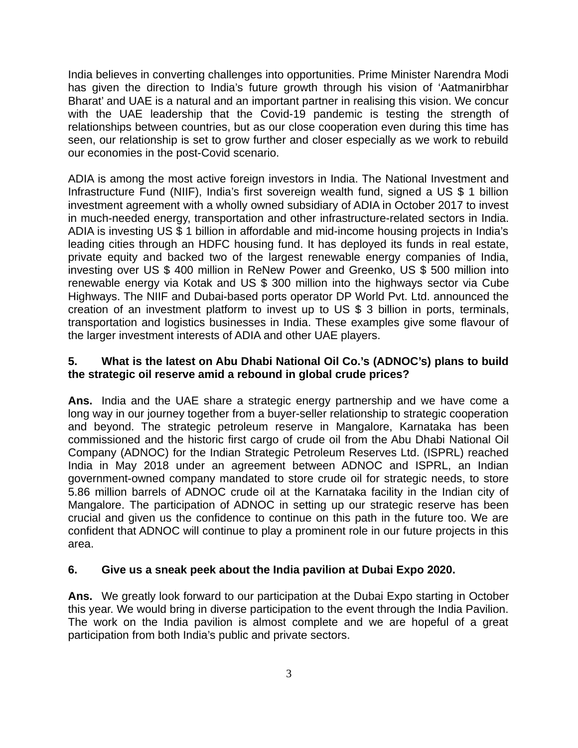India believes in converting challenges into opportunities. Prime Minister Narendra Modi has given the direction to India's future growth through his vision of 'Aatmanirbhar Bharat' and UAE is a natural and an important partner in realising this vision. We concur with the UAE leadership that the Covid-19 pandemic is testing the strength of relationships between countries, but as our close cooperation even during this time has seen, our relationship is set to grow further and closer especially as we work to rebuild our economies in the post-Covid scenario.

ADIA is among the most active foreign investors in India. The National Investment and Infrastructure Fund (NIIF), India's first sovereign wealth fund, signed a US \$ 1 billion investment agreement with a wholly owned subsidiary of ADIA in October 2017 to invest in much-needed energy, transportation and other infrastructure-related sectors in India. ADIA is investing US \$ 1 billion in affordable and mid-income housing projects in India's leading cities through an HDFC housing fund. It has deployed its funds in real estate, private equity and backed two of the largest renewable energy companies of India, investing over US \$ 400 million in ReNew Power and Greenko, US \$ 500 million into renewable energy via Kotak and US \$ 300 million into the highways sector via Cube Highways. The NIIF and Dubai-based ports operator DP World Pvt. Ltd. announced the creation of an investment platform to invest up to US \$ 3 billion in ports, terminals, transportation and logistics businesses in India. These examples give some flavour of the larger investment interests of ADIA and other UAE players.

# **5. What is the latest on Abu Dhabi National Oil Co.'s (ADNOC's) plans to build the strategic oil reserve amid a rebound in global crude prices?**

**Ans.** India and the UAE share a strategic energy partnership and we have come a long way in our journey together from a buyer-seller relationship to strategic cooperation and beyond. The strategic petroleum reserve in Mangalore, Karnataka has been commissioned and the historic first cargo of crude oil from the Abu Dhabi National Oil Company (ADNOC) for the Indian Strategic Petroleum Reserves Ltd. (ISPRL) reached India in May 2018 under an agreement between ADNOC and ISPRL, an Indian government-owned company mandated to store crude oil for strategic needs, to store 5.86 million barrels of ADNOC crude oil at the Karnataka facility in the Indian city of Mangalore. The participation of ADNOC in setting up our strategic reserve has been crucial and given us the confidence to continue on this path in the future too. We are confident that ADNOC will continue to play a prominent role in our future projects in this area.

# **6. Give us a sneak peek about the India pavilion at Dubai Expo 2020.**

**Ans.** We greatly look forward to our participation at the Dubai Expo starting in October this year. We would bring in diverse participation to the event through the India Pavilion. The work on the India pavilion is almost complete and we are hopeful of a great participation from both India's public and private sectors.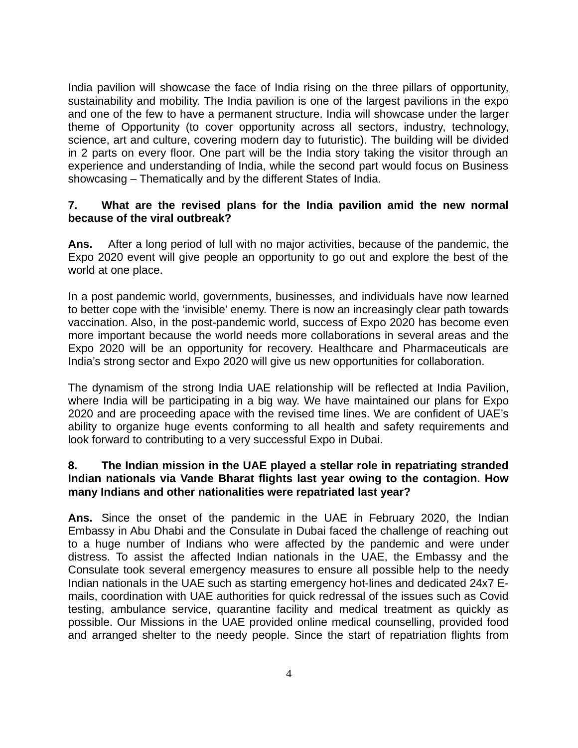India pavilion will showcase the face of India rising on the three pillars of opportunity, sustainability and mobility. The India pavilion is one of the largest pavilions in the expo and one of the few to have a permanent structure. India will showcase under the larger theme of Opportunity (to cover opportunity across all sectors, industry, technology, science, art and culture, covering modern day to futuristic). The building will be divided in 2 parts on every floor. One part will be the India story taking the visitor through an experience and understanding of India, while the second part would focus on Business showcasing – Thematically and by the different States of India.

### **7. What are the revised plans for the India pavilion amid the new normal because of the viral outbreak?**

**Ans.** After a long period of lull with no major activities, because of the pandemic, the Expo 2020 event will give people an opportunity to go out and explore the best of the world at one place.

In a post pandemic world, governments, businesses, and individuals have now learned to better cope with the 'invisible' enemy. There is now an increasingly clear path towards vaccination. Also, in the post-pandemic world, success of Expo 2020 has become even more important because the world needs more collaborations in several areas and the Expo 2020 will be an opportunity for recovery. Healthcare and Pharmaceuticals are India's strong sector and Expo 2020 will give us new opportunities for collaboration.

The dynamism of the strong India UAE relationship will be reflected at India Pavilion, where India will be participating in a big way. We have maintained our plans for Expo 2020 and are proceeding apace with the revised time lines. We are confident of UAE's ability to organize huge events conforming to all health and safety requirements and look forward to contributing to a very successful Expo in Dubai.

# **8. The Indian mission in the UAE played a stellar role in repatriating stranded Indian nationals via Vande Bharat flights last year owing to the contagion. How many Indians and other nationalities were repatriated last year?**

**Ans.** Since the onset of the pandemic in the UAE in February 2020, the Indian Embassy in Abu Dhabi and the Consulate in Dubai faced the challenge of reaching out to a huge number of Indians who were affected by the pandemic and were under distress. To assist the affected Indian nationals in the UAE, the Embassy and the Consulate took several emergency measures to ensure all possible help to the needy Indian nationals in the UAE such as starting emergency hot-lines and dedicated 24x7 Emails, coordination with UAE authorities for quick redressal of the issues such as Covid testing, ambulance service, quarantine facility and medical treatment as quickly as possible. Our Missions in the UAE provided online medical counselling, provided food and arranged shelter to the needy people. Since the start of repatriation flights from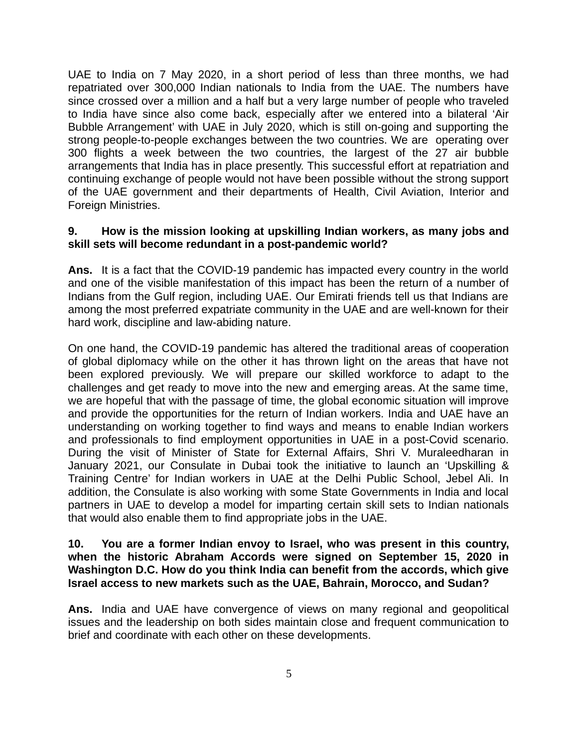UAE to India on 7 May 2020, in a short period of less than three months, we had repatriated over 300,000 Indian nationals to India from the UAE. The numbers have since crossed over a million and a half but a very large number of people who traveled to India have since also come back, especially after we entered into a bilateral 'Air Bubble Arrangement' with UAE in July 2020, which is still on-going and supporting the strong people-to-people exchanges between the two countries. We are operating over 300 flights a week between the two countries, the largest of the 27 air bubble arrangements that India has in place presently. This successful effort at repatriation and continuing exchange of people would not have been possible without the strong support of the UAE government and their departments of Health, Civil Aviation, Interior and Foreign Ministries.

#### **9. How is the mission looking at upskilling Indian workers, as many jobs and skill sets will become redundant in a post-pandemic world?**

**Ans.** It is a fact that the COVID-19 pandemic has impacted every country in the world and one of the visible manifestation of this impact has been the return of a number of Indians from the Gulf region, including UAE. Our Emirati friends tell us that Indians are among the most preferred expatriate community in the UAE and are well-known for their hard work, discipline and law-abiding nature.

On one hand, the COVID-19 pandemic has altered the traditional areas of cooperation of global diplomacy while on the other it has thrown light on the areas that have not been explored previously. We will prepare our skilled workforce to adapt to the challenges and get ready to move into the new and emerging areas. At the same time, we are hopeful that with the passage of time, the global economic situation will improve and provide the opportunities for the return of Indian workers. India and UAE have an understanding on working together to find ways and means to enable Indian workers and professionals to find employment opportunities in UAE in a post-Covid scenario. During the visit of Minister of State for External Affairs, Shri V. Muraleedharan in January 2021, our Consulate in Dubai took the initiative to launch an 'Upskilling & Training Centre' for Indian workers in UAE at the Delhi Public School, Jebel Ali. In addition, the Consulate is also working with some State Governments in India and local partners in UAE to develop a model for imparting certain skill sets to Indian nationals that would also enable them to find appropriate jobs in the UAE.

### **10. You are a former Indian envoy to Israel, who was present in this country, when the historic Abraham Accords were signed on September 15, 2020 in Washington D.C. How do you think India can benefit from the accords, which give Israel access to new markets such as the UAE, Bahrain, Morocco, and Sudan?**

**Ans.** India and UAE have convergence of views on many regional and geopolitical issues and the leadership on both sides maintain close and frequent communication to brief and coordinate with each other on these developments.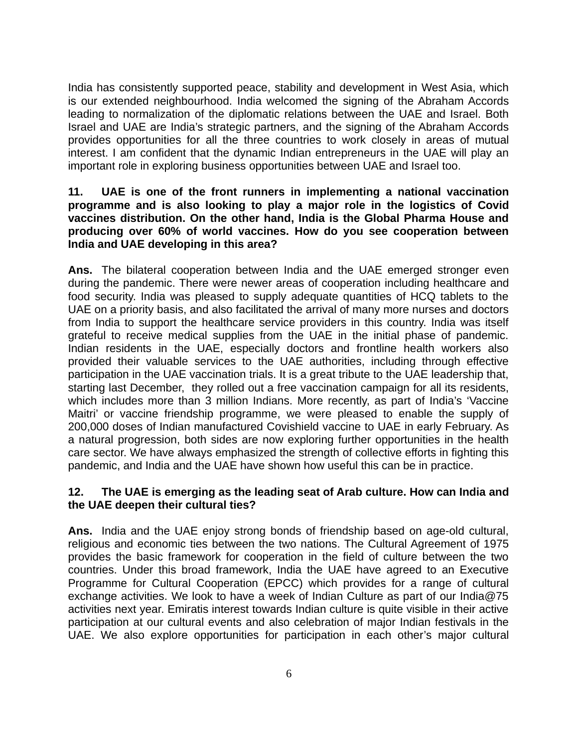India has consistently supported peace, stability and development in West Asia, which is our extended neighbourhood. India welcomed the signing of the Abraham Accords leading to normalization of the diplomatic relations between the UAE and Israel. Both Israel and UAE are India's strategic partners, and the signing of the Abraham Accords provides opportunities for all the three countries to work closely in areas of mutual interest. I am confident that the dynamic Indian entrepreneurs in the UAE will play an important role in exploring business opportunities between UAE and Israel too.

### **11. UAE is one of the front runners in implementing a national vaccination programme and is also looking to play a major role in the logistics of Covid vaccines distribution. On the other hand, India is the Global Pharma House and producing over 60% of world vaccines. How do you see cooperation between India and UAE developing in this area?**

**Ans.** The bilateral cooperation between India and the UAE emerged stronger even during the pandemic. There were newer areas of cooperation including healthcare and food security. India was pleased to supply adequate quantities of HCQ tablets to the UAE on a priority basis, and also facilitated the arrival of many more nurses and doctors from India to support the healthcare service providers in this country. India was itself grateful to receive medical supplies from the UAE in the initial phase of pandemic. Indian residents in the UAE, especially doctors and frontline health workers also provided their valuable services to the UAE authorities, including through effective participation in the UAE vaccination trials. It is a great tribute to the UAE leadership that, starting last December, they rolled out a free vaccination campaign for all its residents, which includes more than 3 million Indians. More recently, as part of India's 'Vaccine Maitri' or vaccine friendship programme, we were pleased to enable the supply of 200,000 doses of Indian manufactured Covishield vaccine to UAE in early February. As a natural progression, both sides are now exploring further opportunities in the health care sector. We have always emphasized the strength of collective efforts in fighting this pandemic, and India and the UAE have shown how useful this can be in practice.

# **12. The UAE is emerging as the leading seat of Arab culture. How can India and the UAE deepen their cultural ties?**

**Ans.** India and the UAE enjoy strong bonds of friendship based on age-old cultural, religious and economic ties between the two nations. The Cultural Agreement of 1975 provides the basic framework for cooperation in the field of culture between the two countries. Under this broad framework, India the UAE have agreed to an Executive Programme for Cultural Cooperation (EPCC) which provides for a range of cultural exchange activities. We look to have a week of Indian Culture as part of our India@75 activities next year. Emiratis interest towards Indian culture is quite visible in their active participation at our cultural events and also celebration of major Indian festivals in the UAE. We also explore opportunities for participation in each other's major cultural